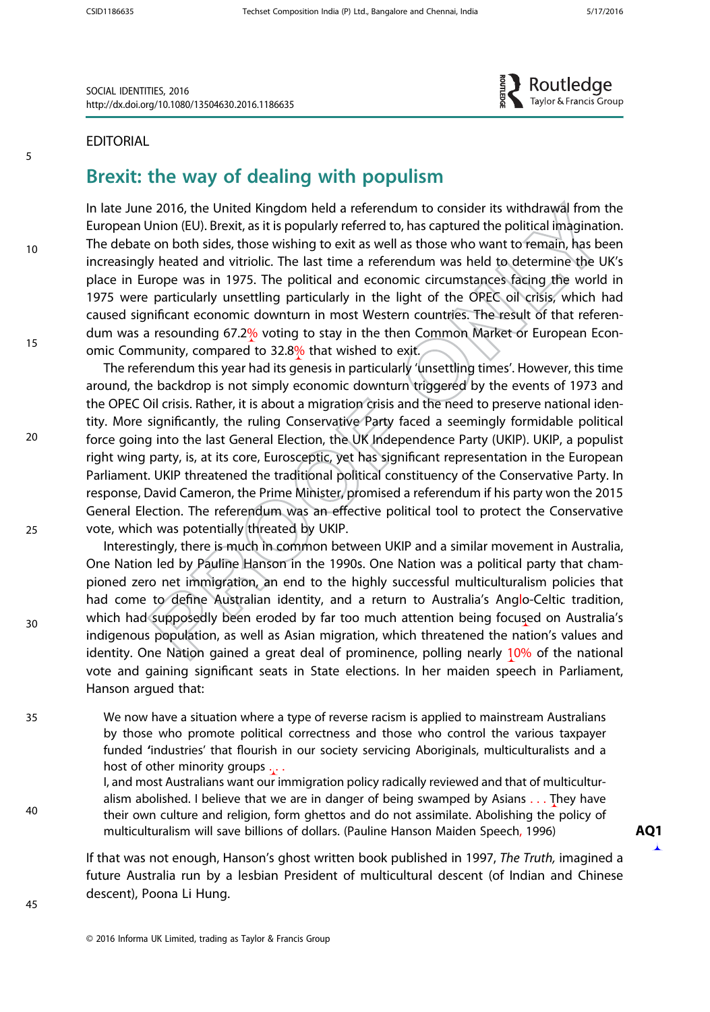SOCIAL IDENTITIES, 2016 http://dx.doi.org/10.1080/13504630.2016.1186635

## EDITORIAL

5

10

15

 $20$ 

25

30

## Brexit: the way of dealing with populism

In late June 2016, the United Kingdom held a referendum to consider its withdrawal from the European Union (EU). Brexit, as it is popularly referred to, has captured the political imagination. The debate on both sides, those wishing to exit as well as those who want to remain, has been increasingly heated and vitriolic. The last time a referendum was held to determine the UK's place in Europe was in 1975. The political and economic circumstances facing the world in 1975 were particularly unsettling particularly in the light of the OPEC oil crisis, which had caused significant economic downturn in most Western countries. The result of that referendum was a resounding 67.2% voting to stay in the then Common Market or European Economic Community, compared to 32.8% that wished to exit.

The referendum this year had its genesis in particularly 'unsettling times'. However, this time around, the backdrop is not simply economic downturn triggered by the events of 1973 and the OPEC Oil crisis. Rather, it is about a migration crisis and the need to preserve national identity. More significantly, the ruling Conservative Party faced a seemingly formidable political force going into the last General Election, the UK Independence Party (UKIP). UKIP, a populist right wing party, is, at its core, Eurosceptic, yet has significant representation in the European Parliament. UKIP threatened the traditional political constituency of the Conservative Party. In response, David Cameron, the Prime Minister, promised a referendum if his party won the 2015 General Election. The referendum was an effective political tool to protect the Conservative vote, which was potentially threated by UKIP.

Interestingly, there is much in common between UKIP and a similar movement in Australia, One Nation led by Pauline Hanson in the 1990s. One Nation was a political party that championed zero net immigration, an end to the highly successful multiculturalism policies that had come to define Australian identity, and a return to Australia's Anglo-Celtic tradition, which had supposedly been eroded by far too much attention being focused on Australia's indigenous population, as well as Asian migration, which threatened the nation's values and identity. One Nation gained a great deal of prominence, polling nearly 10% of the national vote and gaining significant seats in State elections. In her maiden speech in Parliament, Hanson argued that:

We now have a situation where a type of reverse racism is applied to mainstream Australians by those who promote political correctness and those who control the various taxpayer funded 'industries' that flourish in our society servicing Aboriginals, multiculturalists and a host of other minority groups ... 35

> I, and most Australians want our immigration policy radically reviewed and that of multiculturalism abolished. I believe that we are in danger of being swamped by Asians ... They have their own culture and religion, form ghettos and do not assimilate. Abolishing the policy of multiculturalism will save billions of dollars. (Pauline Hanson Maiden Speech, 1996)  $AQ1$

If that was not enough, Hanson's ghost written book published in 1997, The Truth, imagined a future Australia run by a lesbian President of multicultural descent (of Indian and Chinese descent), Poona Li Hung.

45

40